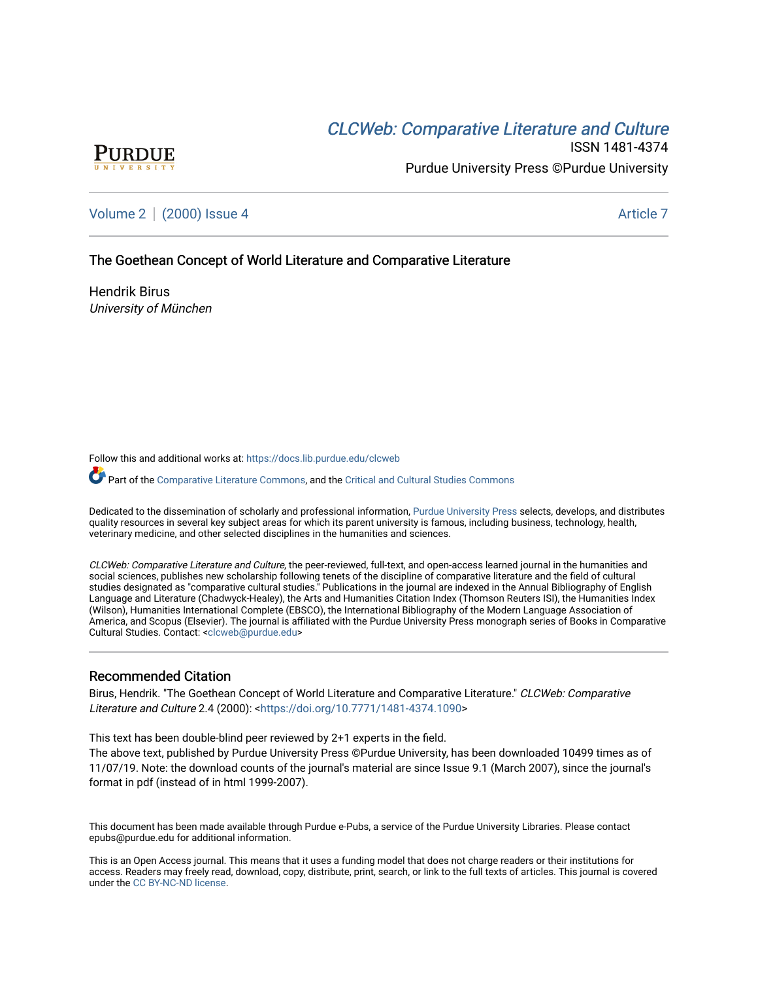# CLCW[eb: Comparative Liter](https://docs.lib.purdue.edu/clcweb)ature and Culture



ISSN 1481-4374 Purdue University Press ©Purdue University

[Volume 2](https://docs.lib.purdue.edu/clcweb/vol2) | [\(2000\) Issue 4](https://docs.lib.purdue.edu/clcweb/vol2/iss4) Article 7

## The Goethean Concept of World Literature and Comparative Literature

Hendrik Birus University of München

Follow this and additional works at: [https://docs.lib.purdue.edu/clcweb](https://docs.lib.purdue.edu/clcweb?utm_source=docs.lib.purdue.edu%2Fclcweb%2Fvol2%2Fiss4%2F7&utm_medium=PDF&utm_campaign=PDFCoverPages)

Part of the [Comparative Literature Commons,](http://network.bepress.com/hgg/discipline/454?utm_source=docs.lib.purdue.edu%2Fclcweb%2Fvol2%2Fiss4%2F7&utm_medium=PDF&utm_campaign=PDFCoverPages) and the Critical and Cultural Studies Commons

Dedicated to the dissemination of scholarly and professional information, [Purdue University Press](http://www.thepress.purdue.edu/) selects, develops, and distributes quality resources in several key subject areas for which its parent university is famous, including business, technology, health, veterinary medicine, and other selected disciplines in the humanities and sciences.

CLCWeb: Comparative Literature and Culture, the peer-reviewed, full-text, and open-access learned journal in the humanities and social sciences, publishes new scholarship following tenets of the discipline of comparative literature and the field of cultural studies designated as "comparative cultural studies." Publications in the journal are indexed in the Annual Bibliography of English Language and Literature (Chadwyck-Healey), the Arts and Humanities Citation Index (Thomson Reuters ISI), the Humanities Index (Wilson), Humanities International Complete (EBSCO), the International Bibliography of the Modern Language Association of America, and Scopus (Elsevier). The journal is affiliated with the Purdue University Press monograph series of Books in Comparative Cultural Studies. Contact: [<clcweb@purdue.edu](mailto:clcweb@purdue.edu)>

### Recommended Citation

Birus, Hendrik. "The Goethean Concept of World Literature and Comparative Literature." CLCWeb: Comparative Literature and Culture 2.4 (2000): [<https://doi.org/10.7771/1481-4374.1090](https://doi.org/10.7771/1481-4374.1090)>

This text has been double-blind peer reviewed by 2+1 experts in the field.

The above text, published by Purdue University Press ©Purdue University, has been downloaded 10499 times as of 11/07/19. Note: the download counts of the journal's material are since Issue 9.1 (March 2007), since the journal's format in pdf (instead of in html 1999-2007).

This document has been made available through Purdue e-Pubs, a service of the Purdue University Libraries. Please contact epubs@purdue.edu for additional information.

This is an Open Access journal. This means that it uses a funding model that does not charge readers or their institutions for access. Readers may freely read, download, copy, distribute, print, search, or link to the full texts of articles. This journal is covered under the [CC BY-NC-ND license.](https://creativecommons.org/licenses/by-nc-nd/4.0/)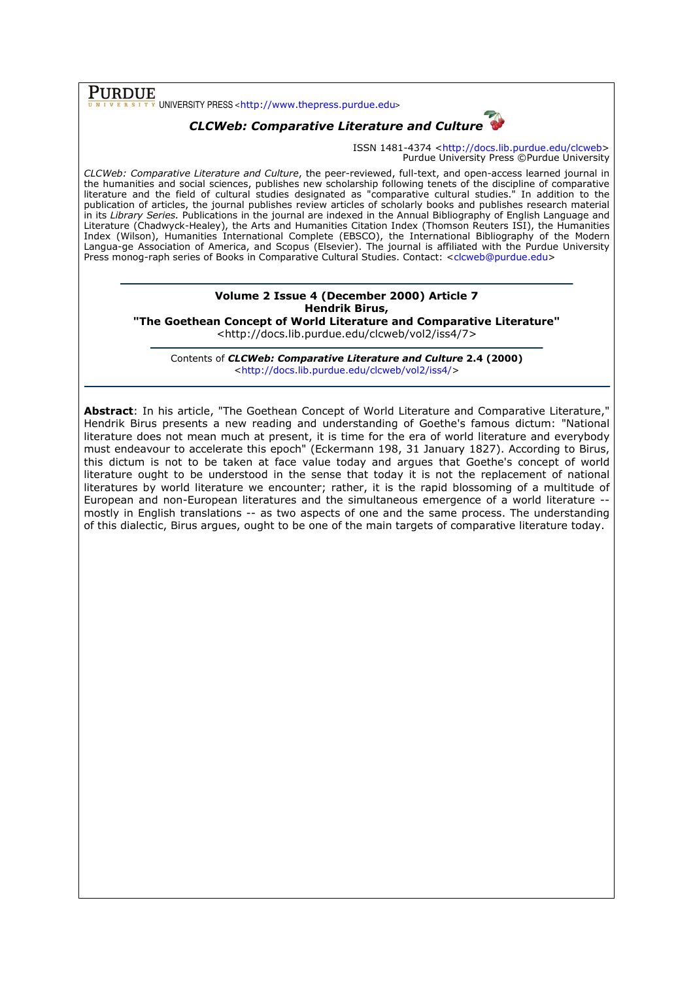$\overline{\text{PURDUE}}$  UNIVERSITY PRESS <http://www.thepress.purdue.edu>

## CLCWeb: Comparative Literature and Culture

ISSN 1481-4374 <http://docs.lib.purdue.edu/clcweb> Purdue University Press ©Purdue University

CLCWeb: Comparative Literature and Culture, the peer-reviewed, full-text, and open-access learned journal in the humanities and social sciences, publishes new scholarship following tenets of the discipline of comparative literature and the field of cultural studies designated as "comparative cultural studies." In addition to the publication of articles, the journal publishes review articles of scholarly books and publishes research material in its Library Series. Publications in the journal are indexed in the Annual Bibliography of English Language and Literature (Chadwyck-Healey), the Arts and Humanities Citation Index (Thomson Reuters ISI), the Humanities Index (Wilson), Humanities International Complete (EBSCO), the International Bibliography of the Modern Langua-ge Association of America, and Scopus (Elsevier). The journal is affiliated with the Purdue University Press monog-raph series of Books in Comparative Cultural Studies. Contact: <clcweb@purdue.edu>

# Volume 2 Issue 4 (December 2000) Article 7 Hendrik Birus,

"The Goethean Concept of World Literature and Comparative Literature"

<http://docs.lib.purdue.edu/clcweb/vol2/iss4/7>

Contents of CLCWeb: Comparative Literature and Culture 2.4 (2000) <http://docs.lib.purdue.edu/clcweb/vol2/iss4/>

Abstract: In his article, "The Goethean Concept of World Literature and Comparative Literature," Hendrik Birus presents a new reading and understanding of Goethe's famous dictum: "National literature does not mean much at present, it is time for the era of world literature and everybody must endeavour to accelerate this epoch" (Eckermann 198, 31 January 1827). According to Birus, this dictum is not to be taken at face value today and argues that Goethe's concept of world literature ought to be understood in the sense that today it is not the replacement of national literatures by world literature we encounter; rather, it is the rapid blossoming of a multitude of European and non-European literatures and the simultaneous emergence of a world literature - mostly in English translations -- as two aspects of one and the same process. The understanding of this dialectic, Birus argues, ought to be one of the main targets of comparative literature today.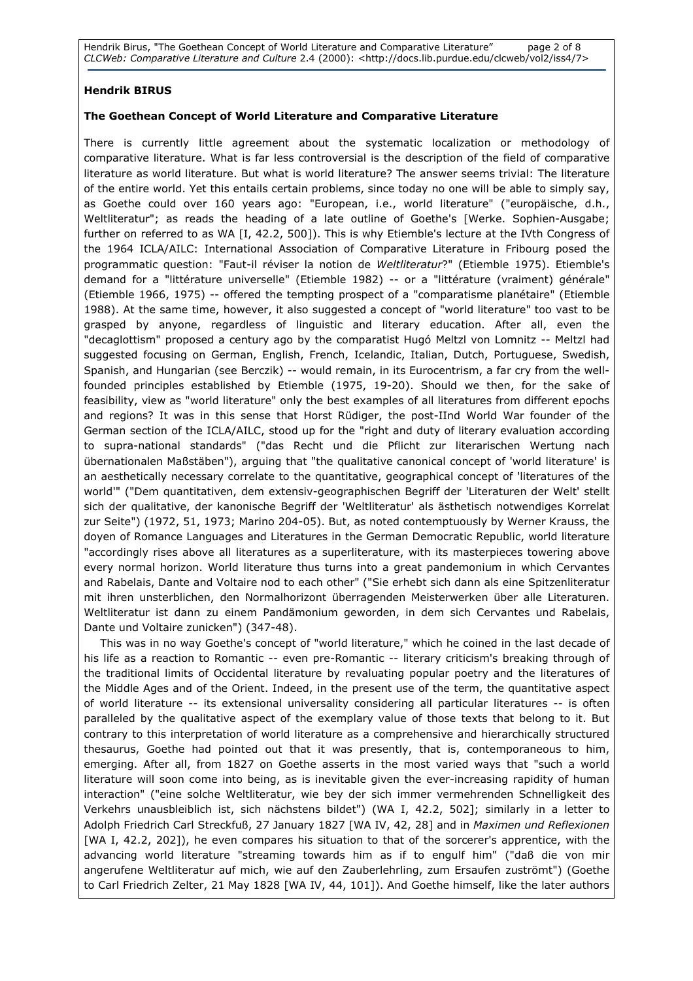Hendrik Birus, "The Goethean Concept of World Literature and Comparative Literature" page 2 of 8 CLCWeb: Comparative Literature and Culture 2.4 (2000): <http://docs.lib.purdue.edu/clcweb/vol2/iss4/7>

## Hendrik BIRUS

## The Goethean Concept of World Literature and Comparative Literature

There is currently little agreement about the systematic localization or methodology of comparative literature. What is far less controversial is the description of the field of comparative literature as world literature. But what is world literature? The answer seems trivial: The literature of the entire world. Yet this entails certain problems, since today no one will be able to simply say, as Goethe could over 160 years ago: "European, i.e., world literature" ("europäische, d.h., Weltliteratur"; as reads the heading of a late outline of Goethe's [Werke. Sophien-Ausgabe; further on referred to as WA [I, 42.2, 500]). This is why Etiemble's lecture at the IVth Congress of the 1964 ICLA/AILC: International Association of Comparative Literature in Fribourg posed the programmatic question: "Faut-il réviser la notion de Weltliteratur?" (Etiemble 1975). Etiemble's demand for a "littérature universelle" (Etiemble 1982) -- or a "littérature (vraiment) générale" (Etiemble 1966, 1975) -- offered the tempting prospect of a "comparatisme planétaire" (Etiemble 1988). At the same time, however, it also suggested a concept of "world literature" too vast to be grasped by anyone, regardless of linguistic and literary education. After all, even the "decaglottism" proposed a century ago by the comparatist Hugó Meltzl von Lomnitz -- Meltzl had suggested focusing on German, English, French, Icelandic, Italian, Dutch, Portuguese, Swedish, Spanish, and Hungarian (see Berczik) -- would remain, in its Eurocentrism, a far cry from the wellfounded principles established by Etiemble (1975, 19-20). Should we then, for the sake of feasibility, view as "world literature" only the best examples of all literatures from different epochs and regions? It was in this sense that Horst Rüdiger, the post-IInd World War founder of the German section of the ICLA/AILC, stood up for the "right and duty of literary evaluation according to supra-national standards" ("das Recht und die Pflicht zur literarischen Wertung nach übernationalen Maßstäben"), arguing that "the qualitative canonical concept of 'world literature' is an aesthetically necessary correlate to the quantitative, geographical concept of 'literatures of the world'" ("Dem quantitativen, dem extensiv-geographischen Begriff der 'Literaturen der Welt' stellt sich der qualitative, der kanonische Begriff der 'Weltliteratur' als ästhetisch notwendiges Korrelat zur Seite") (1972, 51, 1973; Marino 204-05). But, as noted contemptuously by Werner Krauss, the doyen of Romance Languages and Literatures in the German Democratic Republic, world literature "accordingly rises above all literatures as a superliterature, with its masterpieces towering above every normal horizon. World literature thus turns into a great pandemonium in which Cervantes and Rabelais, Dante and Voltaire nod to each other" ("Sie erhebt sich dann als eine Spitzenliteratur mit ihren unsterblichen, den Normalhorizont überragenden Meisterwerken über alle Literaturen. Weltliteratur ist dann zu einem Pandämonium geworden, in dem sich Cervantes und Rabelais, Dante und Voltaire zunicken") (347-48).

This was in no way Goethe's concept of "world literature," which he coined in the last decade of his life as a reaction to Romantic -- even pre-Romantic -- literary criticism's breaking through of the traditional limits of Occidental literature by revaluating popular poetry and the literatures of the Middle Ages and of the Orient. Indeed, in the present use of the term, the quantitative aspect of world literature -- its extensional universality considering all particular literatures -- is often paralleled by the qualitative aspect of the exemplary value of those texts that belong to it. But contrary to this interpretation of world literature as a comprehensive and hierarchically structured thesaurus, Goethe had pointed out that it was presently, that is, contemporaneous to him, emerging. After all, from 1827 on Goethe asserts in the most varied ways that "such a world literature will soon come into being, as is inevitable given the ever-increasing rapidity of human interaction" ("eine solche Weltliteratur, wie bey der sich immer vermehrenden Schnelligkeit des Verkehrs unausbleiblich ist, sich nächstens bildet") (WA I, 42.2, 502]; similarly in a letter to Adolph Friedrich Carl Streckfuß, 27 January 1827 [WA IV, 42, 28] and in Maximen und Reflexionen [WA I, 42.2, 202]), he even compares his situation to that of the sorcerer's apprentice, with the advancing world literature "streaming towards him as if to engulf him" ("daß die von mir angerufene Weltliteratur auf mich, wie auf den Zauberlehrling, zum Ersaufen zuströmt") (Goethe to Carl Friedrich Zelter, 21 May 1828 [WA IV, 44, 101]). And Goethe himself, like the later authors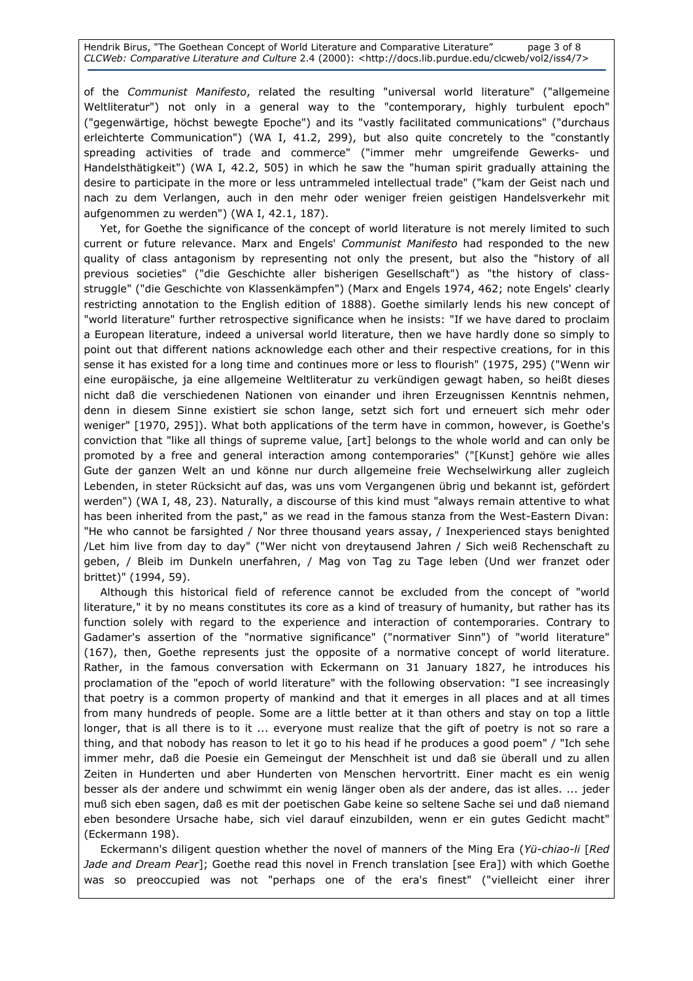Hendrik Birus, "The Goethean Concept of World Literature and Comparative Literature" page 3 of 8 CLCWeb: Comparative Literature and Culture 2.4 (2000): <http://docs.lib.purdue.edu/clcweb/vol2/iss4/7>

of the Communist Manifesto, related the resulting "universal world literature" ("allgemeine Weltliteratur") not only in a general way to the "contemporary, highly turbulent epoch" ("gegenwärtige, höchst bewegte Epoche") and its "vastly facilitated communications" ("durchaus erleichterte Communication") (WA I, 41.2, 299), but also quite concretely to the "constantly spreading activities of trade and commerce" ("immer mehr umgreifende Gewerks- und Handelsthätigkeit") (WA I, 42.2, 505) in which he saw the "human spirit gradually attaining the desire to participate in the more or less untrammeled intellectual trade" ("kam der Geist nach und nach zu dem Verlangen, auch in den mehr oder weniger freien geistigen Handelsverkehr mit aufgenommen zu werden") (WA I, 42.1, 187).

Yet, for Goethe the significance of the concept of world literature is not merely limited to such current or future relevance. Marx and Engels' Communist Manifesto had responded to the new quality of class antagonism by representing not only the present, but also the "history of all previous societies" ("die Geschichte aller bisherigen Gesellschaft") as "the history of classstruggle" ("die Geschichte von Klassenkämpfen") (Marx and Engels 1974, 462; note Engels' clearly restricting annotation to the English edition of 1888). Goethe similarly lends his new concept of "world literature" further retrospective significance when he insists: "If we have dared to proclaim a European literature, indeed a universal world literature, then we have hardly done so simply to point out that different nations acknowledge each other and their respective creations, for in this sense it has existed for a long time and continues more or less to flourish" (1975, 295) ("Wenn wir eine europäische, ja eine allgemeine Weltliteratur zu verkündigen gewagt haben, so heißt dieses nicht daß die verschiedenen Nationen von einander und ihren Erzeugnissen Kenntnis nehmen, denn in diesem Sinne existiert sie schon lange, setzt sich fort und erneuert sich mehr oder weniger" [1970, 295]). What both applications of the term have in common, however, is Goethe's conviction that "like all things of supreme value, [art] belongs to the whole world and can only be promoted by a free and general interaction among contemporaries" ("[Kunst] gehöre wie alles Gute der ganzen Welt an und könne nur durch allgemeine freie Wechselwirkung aller zugleich Lebenden, in steter Rücksicht auf das, was uns vom Vergangenen übrig und bekannt ist, gefördert werden") (WA I, 48, 23). Naturally, a discourse of this kind must "always remain attentive to what has been inherited from the past," as we read in the famous stanza from the West-Eastern Divan: "He who cannot be farsighted / Nor three thousand years assay, / Inexperienced stays benighted /Let him live from day to day" ("Wer nicht von dreytausend Jahren / Sich weiß Rechenschaft zu geben, / Bleib im Dunkeln unerfahren, / Mag von Tag zu Tage leben (Und wer franzet oder brittet)" (1994, 59).

Although this historical field of reference cannot be excluded from the concept of "world literature," it by no means constitutes its core as a kind of treasury of humanity, but rather has its function solely with regard to the experience and interaction of contemporaries. Contrary to Gadamer's assertion of the "normative significance" ("normativer Sinn") of "world literature" (167), then, Goethe represents just the opposite of a normative concept of world literature. Rather, in the famous conversation with Eckermann on 31 January 1827, he introduces his proclamation of the "epoch of world literature" with the following observation: "I see increasingly that poetry is a common property of mankind and that it emerges in all places and at all times from many hundreds of people. Some are a little better at it than others and stay on top a little longer, that is all there is to it ... everyone must realize that the gift of poetry is not so rare a thing, and that nobody has reason to let it go to his head if he produces a good poem" / "Ich sehe immer mehr, daß die Poesie ein Gemeingut der Menschheit ist und daß sie überall und zu allen Zeiten in Hunderten und aber Hunderten von Menschen hervortritt. Einer macht es ein wenig besser als der andere und schwimmt ein wenig länger oben als der andere, das ist alles. ... jeder muß sich eben sagen, daß es mit der poetischen Gabe keine so seltene Sache sei und daß niemand eben besondere Ursache habe, sich viel darauf einzubilden, wenn er ein gutes Gedicht macht" (Eckermann 198).

Eckermann's diligent question whether the novel of manners of the Ming Era (Yü-chiao-li [Red Jade and Dream Pear]; Goethe read this novel in French translation [see Era]) with which Goethe was so preoccupied was not "perhaps one of the era's finest" ("vielleicht einer ihrer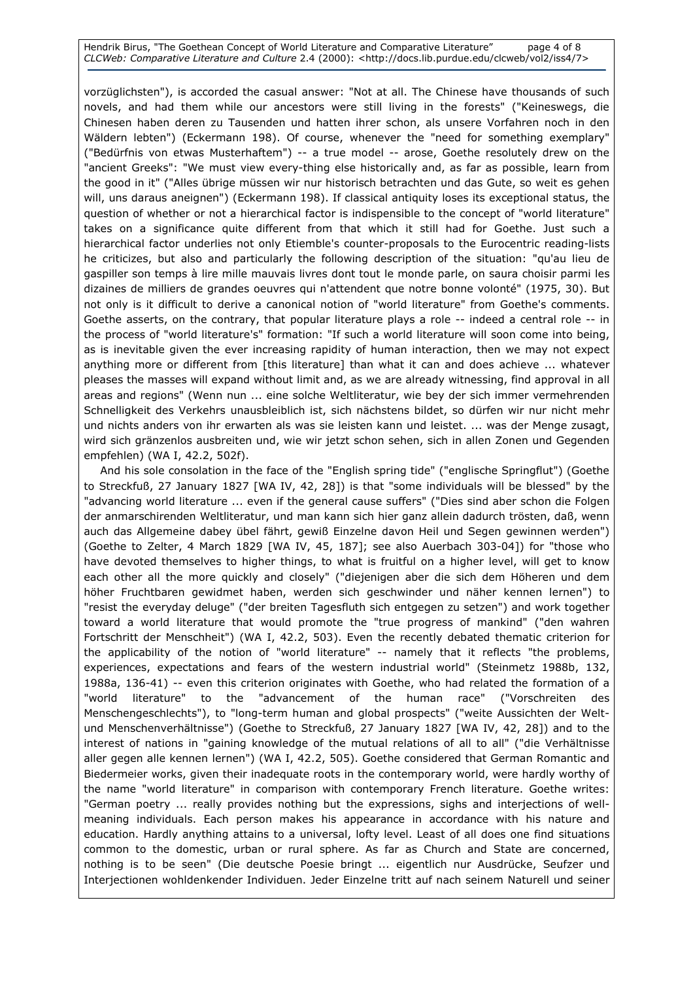#### Hendrik Birus, "The Goethean Concept of World Literature and Comparative Literature" page 4 of 8 CLCWeb: Comparative Literature and Culture 2.4 (2000): <http://docs.lib.purdue.edu/clcweb/vol2/iss4/7>

vorzüglichsten"), is accorded the casual answer: "Not at all. The Chinese have thousands of such novels, and had them while our ancestors were still living in the forests" ("Keineswegs, die Chinesen haben deren zu Tausenden und hatten ihrer schon, als unsere Vorfahren noch in den Wäldern lebten") (Eckermann 198). Of course, whenever the "need for something exemplary" ("Bedürfnis von etwas Musterhaftem") -- a true model -- arose, Goethe resolutely drew on the "ancient Greeks": "We must view every-thing else historically and, as far as possible, learn from the good in it" ("Alles übrige müssen wir nur historisch betrachten und das Gute, so weit es gehen will, uns daraus aneignen") (Eckermann 198). If classical antiquity loses its exceptional status, the question of whether or not a hierarchical factor is indispensible to the concept of "world literature" takes on a significance quite different from that which it still had for Goethe. Just such a hierarchical factor underlies not only Etiemble's counter-proposals to the Eurocentric reading-lists he criticizes, but also and particularly the following description of the situation: "qu'au lieu de gaspiller son temps à lire mille mauvais livres dont tout le monde parle, on saura choisir parmi les dizaines de milliers de grandes oeuvres qui n'attendent que notre bonne volonté" (1975, 30). But not only is it difficult to derive a canonical notion of "world literature" from Goethe's comments. Goethe asserts, on the contrary, that popular literature plays a role -- indeed a central role -- in the process of "world literature's" formation: "If such a world literature will soon come into being, as is inevitable given the ever increasing rapidity of human interaction, then we may not expect anything more or different from [this literature] than what it can and does achieve ... whatever pleases the masses will expand without limit and, as we are already witnessing, find approval in all areas and regions" (Wenn nun ... eine solche Weltliteratur, wie bey der sich immer vermehrenden Schnelligkeit des Verkehrs unausbleiblich ist, sich nächstens bildet, so dürfen wir nur nicht mehr und nichts anders von ihr erwarten als was sie leisten kann und leistet. ... was der Menge zusagt, wird sich gränzenlos ausbreiten und, wie wir jetzt schon sehen, sich in allen Zonen und Gegenden empfehlen) (WA I, 42.2, 502f).

And his sole consolation in the face of the "English spring tide" ("englische Springflut") (Goethe to Streckfuß, 27 January 1827 [WA IV, 42, 28]) is that "some individuals will be blessed" by the "advancing world literature ... even if the general cause suffers" ("Dies sind aber schon die Folgen der anmarschirenden Weltliteratur, und man kann sich hier ganz allein dadurch trösten, daß, wenn auch das Allgemeine dabey übel fährt, gewiß Einzelne davon Heil und Segen gewinnen werden") (Goethe to Zelter, 4 March 1829 [WA IV, 45, 187]; see also Auerbach 303-04]) for "those who have devoted themselves to higher things, to what is fruitful on a higher level, will get to know each other all the more quickly and closely" ("diejenigen aber die sich dem Höheren und dem höher Fruchtbaren gewidmet haben, werden sich geschwinder und näher kennen lernen") to "resist the everyday deluge" ("der breiten Tagesfluth sich entgegen zu setzen") and work together toward a world literature that would promote the "true progress of mankind" ("den wahren Fortschritt der Menschheit") (WA I, 42.2, 503). Even the recently debated thematic criterion for the applicability of the notion of "world literature" -- namely that it reflects "the problems, experiences, expectations and fears of the western industrial world" (Steinmetz 1988b, 132, 1988a, 136-41) -- even this criterion originates with Goethe, who had related the formation of a "world literature" to the "advancement of the human race" ("Vorschreiten des Menschengeschlechts"), to "long-term human and global prospects" ("weite Aussichten der Weltund Menschenverhältnisse") (Goethe to Streckfuß, 27 January 1827 [WA IV, 42, 28]) and to the interest of nations in "gaining knowledge of the mutual relations of all to all" ("die Verhältnisse aller gegen alle kennen lernen") (WA I, 42.2, 505). Goethe considered that German Romantic and Biedermeier works, given their inadequate roots in the contemporary world, were hardly worthy of the name "world literature" in comparison with contemporary French literature. Goethe writes: "German poetry ... really provides nothing but the expressions, sighs and interjections of wellmeaning individuals. Each person makes his appearance in accordance with his nature and education. Hardly anything attains to a universal, lofty level. Least of all does one find situations common to the domestic, urban or rural sphere. As far as Church and State are concerned, nothing is to be seen" (Die deutsche Poesie bringt ... eigentlich nur Ausdrücke, Seufzer und Interjectionen wohldenkender Individuen. Jeder Einzelne tritt auf nach seinem Naturell und seiner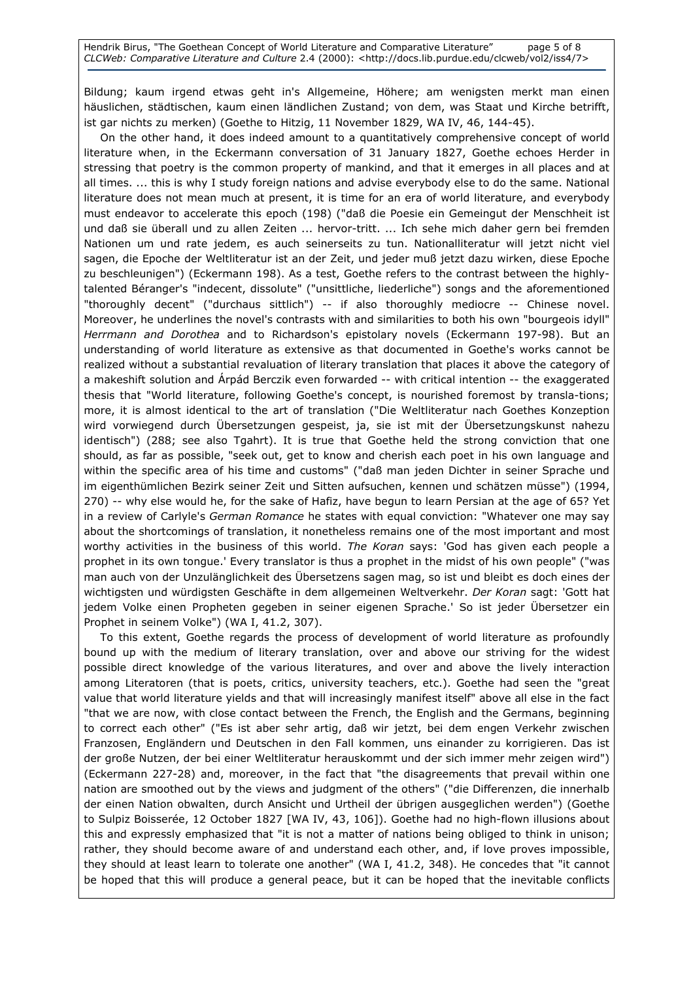Bildung; kaum irgend etwas geht in's Allgemeine, Höhere; am wenigsten merkt man einen häuslichen, städtischen, kaum einen ländlichen Zustand; von dem, was Staat und Kirche betrifft, ist gar nichts zu merken) (Goethe to Hitzig, 11 November 1829, WA IV, 46, 144-45).

On the other hand, it does indeed amount to a quantitatively comprehensive concept of world literature when, in the Eckermann conversation of 31 January 1827, Goethe echoes Herder in stressing that poetry is the common property of mankind, and that it emerges in all places and at all times. ... this is why I study foreign nations and advise everybody else to do the same. National literature does not mean much at present, it is time for an era of world literature, and everybody must endeavor to accelerate this epoch (198) ("daß die Poesie ein Gemeingut der Menschheit ist und daß sie überall und zu allen Zeiten ... hervor-tritt. ... Ich sehe mich daher gern bei fremden Nationen um und rate jedem, es auch seinerseits zu tun. Nationalliteratur will jetzt nicht viel sagen, die Epoche der Weltliteratur ist an der Zeit, und jeder muß jetzt dazu wirken, diese Epoche zu beschleunigen") (Eckermann 198). As a test, Goethe refers to the contrast between the highlytalented Béranger's "indecent, dissolute" ("unsittliche, liederliche") songs and the aforementioned "thoroughly decent" ("durchaus sittlich") -- if also thoroughly mediocre -- Chinese novel. Moreover, he underlines the novel's contrasts with and similarities to both his own "bourgeois idyll" Herrmann and Dorothea and to Richardson's epistolary novels (Eckermann 197-98). But an understanding of world literature as extensive as that documented in Goethe's works cannot be realized without a substantial revaluation of literary translation that places it above the category of a makeshift solution and Árpád Berczik even forwarded -- with critical intention -- the exaggerated thesis that "World literature, following Goethe's concept, is nourished foremost by transla-tions; more, it is almost identical to the art of translation ("Die Weltliteratur nach Goethes Konzeption wird vorwiegend durch Übersetzungen gespeist, ja, sie ist mit der Übersetzungskunst nahezu identisch") (288; see also Tgahrt). It is true that Goethe held the strong conviction that one should, as far as possible, "seek out, get to know and cherish each poet in his own language and within the specific area of his time and customs" ("daß man jeden Dichter in seiner Sprache und im eigenthümlichen Bezirk seiner Zeit und Sitten aufsuchen, kennen und schätzen müsse") (1994, 270) -- why else would he, for the sake of Hafiz, have begun to learn Persian at the age of 65? Yet in a review of Carlyle's German Romance he states with equal conviction: "Whatever one may say about the shortcomings of translation, it nonetheless remains one of the most important and most worthy activities in the business of this world. The Koran says: 'God has given each people a prophet in its own tongue.' Every translator is thus a prophet in the midst of his own people" ("was man auch von der Unzulänglichkeit des Übersetzens sagen mag, so ist und bleibt es doch eines der wichtigsten und würdigsten Geschäfte in dem allgemeinen Weltverkehr. Der Koran sagt: 'Gott hat jedem Volke einen Propheten gegeben in seiner eigenen Sprache.' So ist jeder Übersetzer ein Prophet in seinem Volke") (WA I, 41.2, 307).

To this extent, Goethe regards the process of development of world literature as profoundly bound up with the medium of literary translation, over and above our striving for the widest possible direct knowledge of the various literatures, and over and above the lively interaction among Literatoren (that is poets, critics, university teachers, etc.). Goethe had seen the "great value that world literature yields and that will increasingly manifest itself" above all else in the fact "that we are now, with close contact between the French, the English and the Germans, beginning to correct each other" ("Es ist aber sehr artig, daß wir jetzt, bei dem engen Verkehr zwischen Franzosen, Engländern und Deutschen in den Fall kommen, uns einander zu korrigieren. Das ist der große Nutzen, der bei einer Weltliteratur herauskommt und der sich immer mehr zeigen wird") (Eckermann 227-28) and, moreover, in the fact that "the disagreements that prevail within one nation are smoothed out by the views and judgment of the others" ("die Differenzen, die innerhalb der einen Nation obwalten, durch Ansicht und Urtheil der übrigen ausgeglichen werden") (Goethe to Sulpiz Boisserée, 12 October 1827 [WA IV, 43, 106]). Goethe had no high-flown illusions about this and expressly emphasized that "it is not a matter of nations being obliged to think in unison; rather, they should become aware of and understand each other, and, if love proves impossible, they should at least learn to tolerate one another" (WA I, 41.2, 348). He concedes that "it cannot be hoped that this will produce a general peace, but it can be hoped that the inevitable conflicts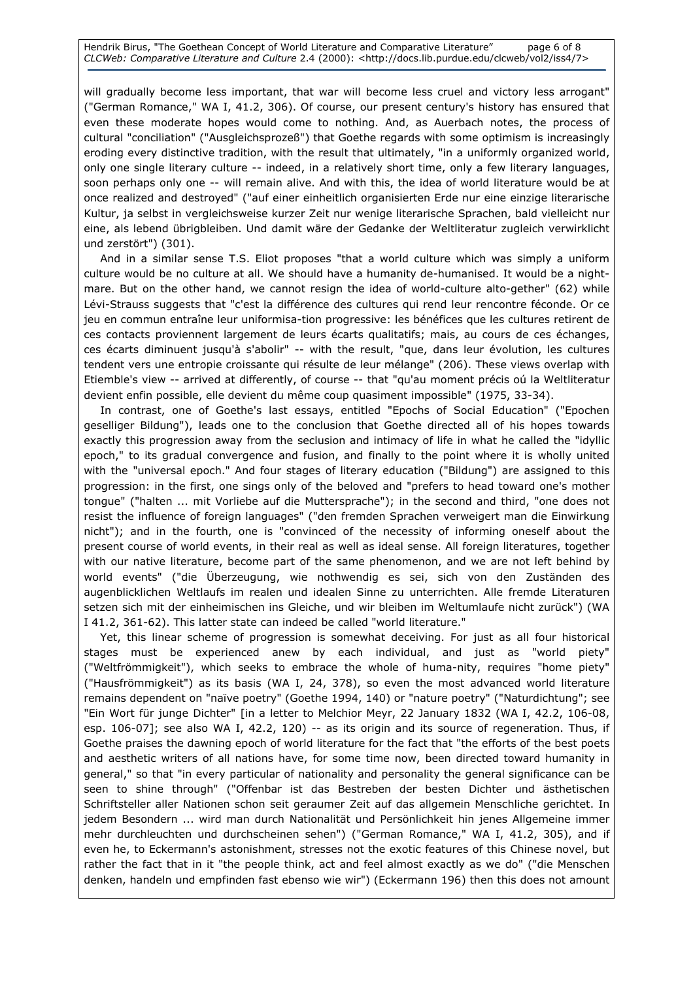will gradually become less important, that war will become less cruel and victory less arrogant" ("German Romance," WA I, 41.2, 306). Of course, our present century's history has ensured that even these moderate hopes would come to nothing. And, as Auerbach notes, the process of cultural "conciliation" ("Ausgleichsprozeß") that Goethe regards with some optimism is increasingly eroding every distinctive tradition, with the result that ultimately, "in a uniformly organized world, only one single literary culture -- indeed, in a relatively short time, only a few literary languages, soon perhaps only one -- will remain alive. And with this, the idea of world literature would be at once realized and destroyed" ("auf einer einheitlich organisierten Erde nur eine einzige literarische Kultur, ja selbst in vergleichsweise kurzer Zeit nur wenige literarische Sprachen, bald vielleicht nur eine, als lebend übrigbleiben. Und damit wäre der Gedanke der Weltliteratur zugleich verwirklicht und zerstört") (301).

And in a similar sense T.S. Eliot proposes "that a world culture which was simply a uniform culture would be no culture at all. We should have a humanity de-humanised. It would be a nightmare. But on the other hand, we cannot resign the idea of world-culture alto-gether" (62) while Lévi-Strauss suggests that "c'est la différence des cultures qui rend leur rencontre féconde. Or ce jeu en commun entraîne leur uniformisa-tion progressive: les bénéfices que les cultures retirent de ces contacts proviennent largement de leurs écarts qualitatifs; mais, au cours de ces échanges, ces écarts diminuent jusqu'à s'abolir" -- with the result, "que, dans leur évolution, les cultures tendent vers une entropie croissante qui résulte de leur mélange" (206). These views overlap with Etiemble's view -- arrived at differently, of course -- that "qu'au moment précis oú la Weltliteratur devient enfin possible, elle devient du même coup quasiment impossible" (1975, 33-34).

In contrast, one of Goethe's last essays, entitled "Epochs of Social Education" ("Epochen geselliger Bildung"), leads one to the conclusion that Goethe directed all of his hopes towards exactly this progression away from the seclusion and intimacy of life in what he called the "idyllic epoch," to its gradual convergence and fusion, and finally to the point where it is wholly united with the "universal epoch." And four stages of literary education ("Bildung") are assigned to this progression: in the first, one sings only of the beloved and "prefers to head toward one's mother tongue" ("halten ... mit Vorliebe auf die Muttersprache"); in the second and third, "one does not resist the influence of foreign languages" ("den fremden Sprachen verweigert man die Einwirkung nicht"); and in the fourth, one is "convinced of the necessity of informing oneself about the present course of world events, in their real as well as ideal sense. All foreign literatures, together with our native literature, become part of the same phenomenon, and we are not left behind by world events" ("die Überzeugung, wie nothwendig es sei, sich von den Zuständen des augenblicklichen Weltlaufs im realen und idealen Sinne zu unterrichten. Alle fremde Literaturen setzen sich mit der einheimischen ins Gleiche, und wir bleiben im Weltumlaufe nicht zurück") (WA I 41.2, 361-62). This latter state can indeed be called "world literature."

Yet, this linear scheme of progression is somewhat deceiving. For just as all four historical stages must be experienced anew by each individual, and just as "world piety" ("Weltfrömmigkeit"), which seeks to embrace the whole of huma-nity, requires "home piety" ("Hausfrömmigkeit") as its basis (WA I, 24, 378), so even the most advanced world literature remains dependent on "naïve poetry" (Goethe 1994, 140) or "nature poetry" ("Naturdichtung"; see "Ein Wort für junge Dichter" [in a letter to Melchior Meyr, 22 January 1832 (WA I, 42.2, 106-08, esp. 106-07]; see also WA I, 42.2, 120) -- as its origin and its source of regeneration. Thus, if Goethe praises the dawning epoch of world literature for the fact that "the efforts of the best poets and aesthetic writers of all nations have, for some time now, been directed toward humanity in general," so that "in every particular of nationality and personality the general significance can be seen to shine through" ("Offenbar ist das Bestreben der besten Dichter und ästhetischen Schriftsteller aller Nationen schon seit geraumer Zeit auf das allgemein Menschliche gerichtet. In jedem Besondern ... wird man durch Nationalität und Persönlichkeit hin jenes Allgemeine immer mehr durchleuchten und durchscheinen sehen") ("German Romance," WA I, 41.2, 305), and if even he, to Eckermann's astonishment, stresses not the exotic features of this Chinese novel, but rather the fact that in it "the people think, act and feel almost exactly as we do" ("die Menschen denken, handeln und empfinden fast ebenso wie wir") (Eckermann 196) then this does not amount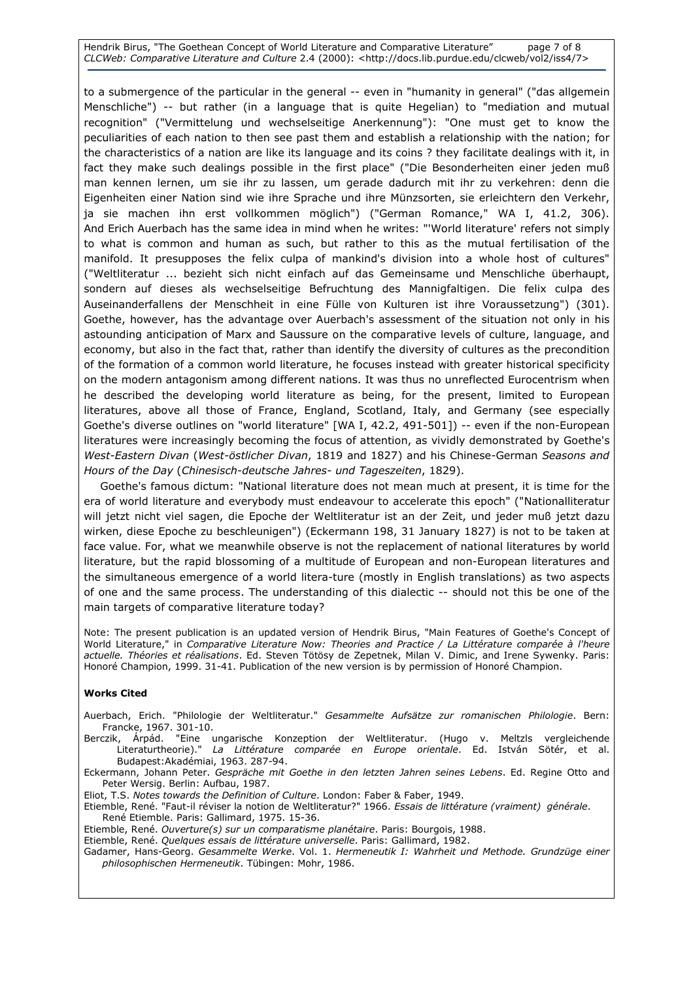Hendrik Birus, "The Goethean Concept of World Literature and Comparative Literature" page 7 of 8 CLCWeb: Comparative Literature and Culture 2.4 (2000): <http://docs.lib.purdue.edu/clcweb/vol2/iss4/7>

to a submergence of the particular in the general -- even in "humanity in general" ("das allgemein Menschliche") -- but rather (in a language that is quite Hegelian) to "mediation and mutual recognition" ("Vermittelung und wechselseitige Anerkennung"): "One must get to know the peculiarities of each nation to then see past them and establish a relationship with the nation; for the characteristics of a nation are like its language and its coins ? they facilitate dealings with it, in fact they make such dealings possible in the first place" ("Die Besonderheiten einer jeden muß man kennen lernen, um sie ihr zu lassen, um gerade dadurch mit ihr zu verkehren: denn die Eigenheiten einer Nation sind wie ihre Sprache und ihre Münzsorten, sie erleichtern den Verkehr, ja sie machen ihn erst vollkommen möglich") ("German Romance," WA I, 41.2, 306). And Erich Auerbach has the same idea in mind when he writes: "'World literature' refers not simply to what is common and human as such, but rather to this as the mutual fertilisation of the manifold. It presupposes the felix culpa of mankind's division into a whole host of cultures" ("Weltliteratur ... bezieht sich nicht einfach auf das Gemeinsame und Menschliche überhaupt, sondern auf dieses als wechselseitige Befruchtung des Mannigfaltigen. Die felix culpa des Auseinanderfallens der Menschheit in eine Fülle von Kulturen ist ihre Voraussetzung") (301). Goethe, however, has the advantage over Auerbach's assessment of the situation not only in his astounding anticipation of Marx and Saussure on the comparative levels of culture, language, and economy, but also in the fact that, rather than identify the diversity of cultures as the precondition of the formation of a common world literature, he focuses instead with greater historical specificity on the modern antagonism among different nations. It was thus no unreflected Eurocentrism when he described the developing world literature as being, for the present, limited to European literatures, above all those of France, England, Scotland, Italy, and Germany (see especially Goethe's diverse outlines on "world literature" [WA I, 42.2, 491-501]) -- even if the non-European literatures were increasingly becoming the focus of attention, as vividly demonstrated by Goethe's West-Eastern Divan (West-östlicher Divan, 1819 and 1827) and his Chinese-German Seasons and Hours of the Day (Chinesisch-deutsche Jahres- und Tageszeiten, 1829).

Goethe's famous dictum: "National literature does not mean much at present, it is time for the era of world literature and everybody must endeavour to accelerate this epoch" ("Nationalliteratur will jetzt nicht viel sagen, die Epoche der Weltliteratur ist an der Zeit, und jeder muß jetzt dazu wirken, diese Epoche zu beschleunigen") (Eckermann 198, 31 January 1827) is not to be taken at face value. For, what we meanwhile observe is not the replacement of national literatures by world literature, but the rapid blossoming of a multitude of European and non-European literatures and the simultaneous emergence of a world litera-ture (mostly in English translations) as two aspects of one and the same process. The understanding of this dialectic -- should not this be one of the main targets of comparative literature today?

Note: The present publication is an updated version of Hendrik Birus, "Main Features of Goethe's Concept of World Literature," in Comparative Literature Now: Theories and Practice / La Littérature comparée à l'heure actuelle. Théories et réalisations. Ed. Steven Tötösy de Zepetnek, Milan V. Dimic, and Irene Sywenky. Paris: Honoré Champion, 1999. 31-41. Publication of the new version is by permission of Honoré Champion.

#### Works Cited

Auerbach, Erich. "Philologie der Weltliteratur." Gesammelte Aufsätze zur romanischen Philologie. Bern: Francke, 1967. 301-10.

Berczik, Árpád. "Eine ungarische Konzeption der Weltliteratur. (Hugo v. Meltzls vergleichende Literaturtheorie)." *La Littérature comparée en Europe orientale*. Ed. István Sötér, et al. Budapest:Akadémiai, 1963. 287-94.

Eckermann, Johann Peter. Gespräche mit Goethe in den letzten Jahren seines Lebens. Ed. Regine Otto and Peter Wersig. Berlin: Aufbau, 1987.

Eliot, T.S. Notes towards the Definition of Culture. London: Faber & Faber, 1949.

Etiemble, René. "Faut-il réviser la notion de Weltliteratur?" 1966. Essais de littérature (vraiment) générale. René Etiemble. Paris: Gallimard, 1975. 15-36.

Etiemble, René. Ouverture(s) sur un comparatisme planétaire. Paris: Bourgois, 1988.

Etiemble, René. Quelques essais de littérature universelle. Paris: Gallimard, 1982.

Gadamer, Hans-Georg. Gesammelte Werke. Vol. 1. Hermeneutik I: Wahrheit und Methode. Grundzüge einer philosophischen Hermeneutik. Tübingen: Mohr, 1986.